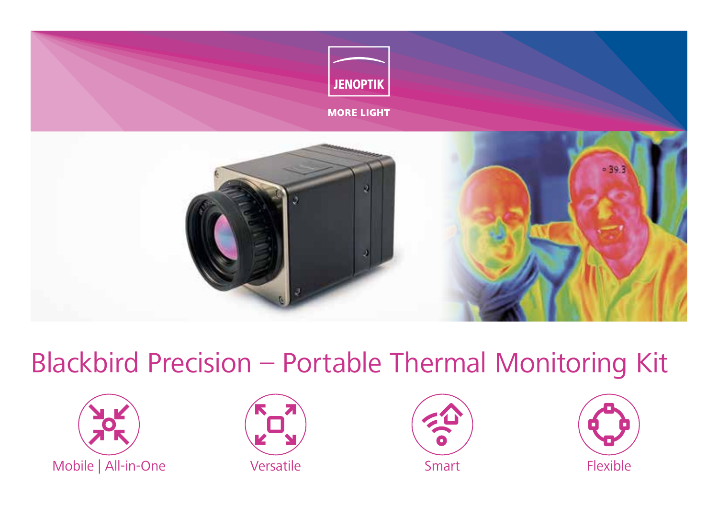

# Blackbird Precision – Portable Thermal Monitoring Kit







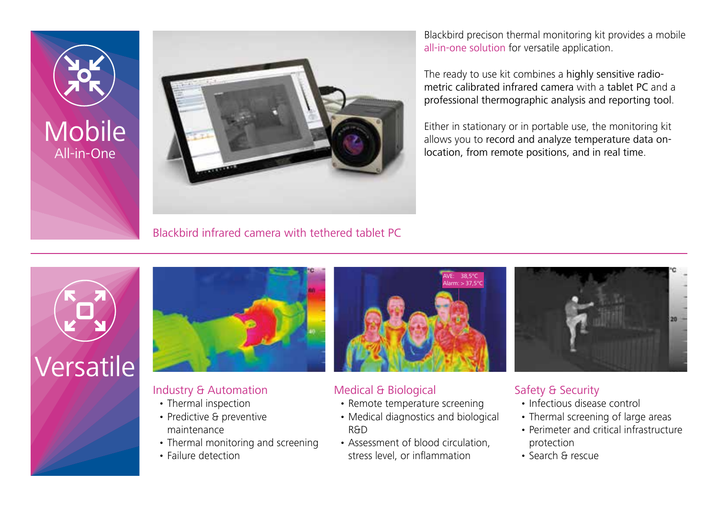



Blackbird infrared camera with tethered tablet PC

Blackbird precison thermal monitoring kit provides a mobile all-in-one solution for versatile application.

The ready to use kit combines a highly sensitive radiometric calibrated infrared camera with a tablet PC and a professional thermographic analysis and reporting tool.

Either in stationary or in portable use, the monitoring kit allows you to record and analyze temperature data onlocation, from remote positions, and in real time.





# Industry & Automation

- Thermal inspection
- Predictive & preventive maintenance
- Thermal monitoring and screening
- Failure detection



### Medical & Biological

- Remote temperature screening
- Medical diagnostics and biological R&D
- Assessment of blood circulation, stress level, or inflammation

## Safety & Security

- Infectious disease control
- Thermal screening of large areas
- Perimeter and critical infrastructure protection
- Search & rescue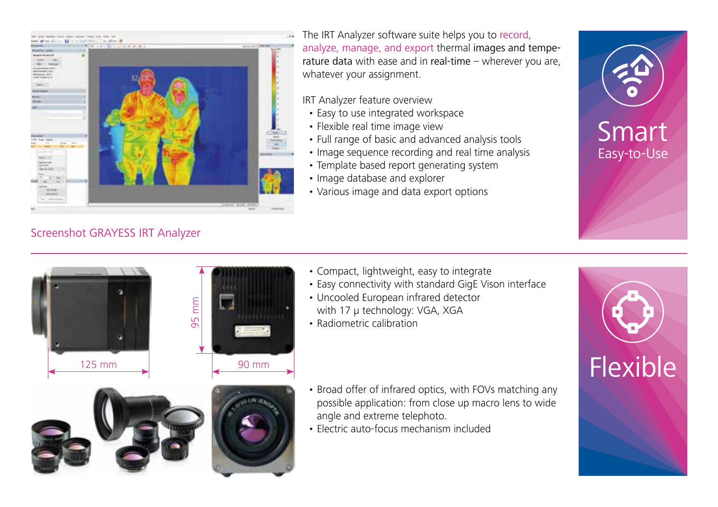

# Screenshot GRAYESS IRT Analyzer

The IRT Analyzer software suite helps you to record, analyze, manage, and export thermal images and temperature data with ease and in real-time – wherever you are, whatever your assignment.

#### IRT Analyzer feature overview

- Easy to use integrated workspace
- Flexible real time image view
- Full range of basic and advanced analysis tools
- Image sequence recording and real time analysis
- Template based report generating system
- Image database and explorer
- Various image and data export options





- Compact, lightweight, easy to integrate
- Easy connectivity with standard GigE Vison interface
- Uncooled European infrared detector with 17 µ technology: VGA, XGA
- Radiometric calibration

- Broad offer of infrared optics, with FOVs matching any possible application: from close up macro lens to wide angle and extreme telephoto.
- Electric auto-focus mechanism included